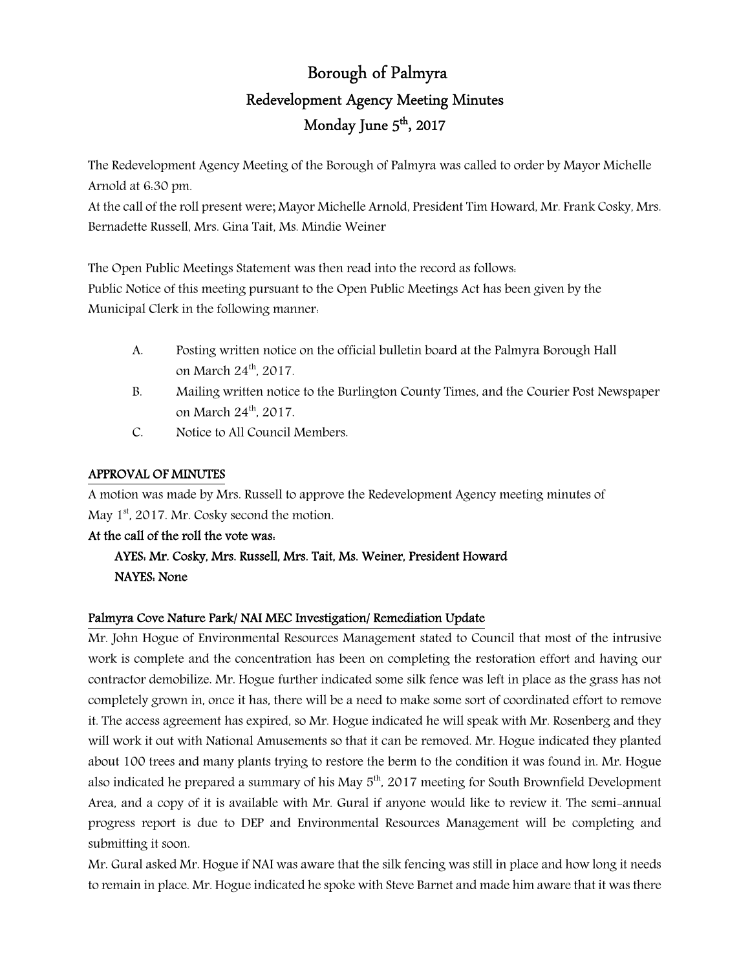# Borough of Palmyra Redevelopment Agency Meeting Minutes Monday June 5<sup>th</sup>, 2017

The Redevelopment Agency Meeting of the Borough of Palmyra was called to order by Mayor Michelle Arnold at 6:30 pm.

At the call of the roll present were; Mayor Michelle Arnold, President Tim Howard, Mr. Frank Cosky, Mrs. Bernadette Russell, Mrs. Gina Tait, Ms. Mindie Weiner

The Open Public Meetings Statement was then read into the record as follows: Public Notice of this meeting pursuant to the Open Public Meetings Act has been given by the Municipal Clerk in the following manner:

- A. Posting written notice on the official bulletin board at the Palmyra Borough Hall on March 24<sup>th</sup>, 2017.
- B. Mailing written notice to the Burlington County Times, and the Courier Post Newspaper on March 24<sup>th</sup>, 2017.
- C. Notice to All Council Members.

## APPROVAL OF MINUTES

A motion was made by Mrs. Russell to approve the Redevelopment Agency meeting minutes of May  $1<sup>st</sup>$ , 2017. Mr. Cosky second the motion.

## At the call of the roll the vote was:

 AYES: Mr. Cosky, Mrs. Russell, Mrs. Tait, Ms. Weiner, President Howard NAYES: None

## Palmyra Cove Nature Park/ NAI MEC Investigation/ Remediation Update

Mr. John Hogue of Environmental Resources Management stated to Council that most of the intrusive work is complete and the concentration has been on completing the restoration effort and having our contractor demobilize. Mr. Hogue further indicated some silk fence was left in place as the grass has not completely grown in, once it has, there will be a need to make some sort of coordinated effort to remove it. The access agreement has expired, so Mr. Hogue indicated he will speak with Mr. Rosenberg and they will work it out with National Amusements so that it can be removed. Mr. Hogue indicated they planted about 100 trees and many plants trying to restore the berm to the condition it was found in. Mr. Hogue also indicated he prepared a summary of his May 5<sup>th</sup>, 2017 meeting for South Brownfield Development Area, and a copy of it is available with Mr. Gural if anyone would like to review it. The semi-annual progress report is due to DEP and Environmental Resources Management will be completing and submitting it soon.

Mr. Gural asked Mr. Hogue if NAI was aware that the silk fencing was still in place and how long it needs to remain in place. Mr. Hogue indicated he spoke with Steve Barnet and made him aware that it was there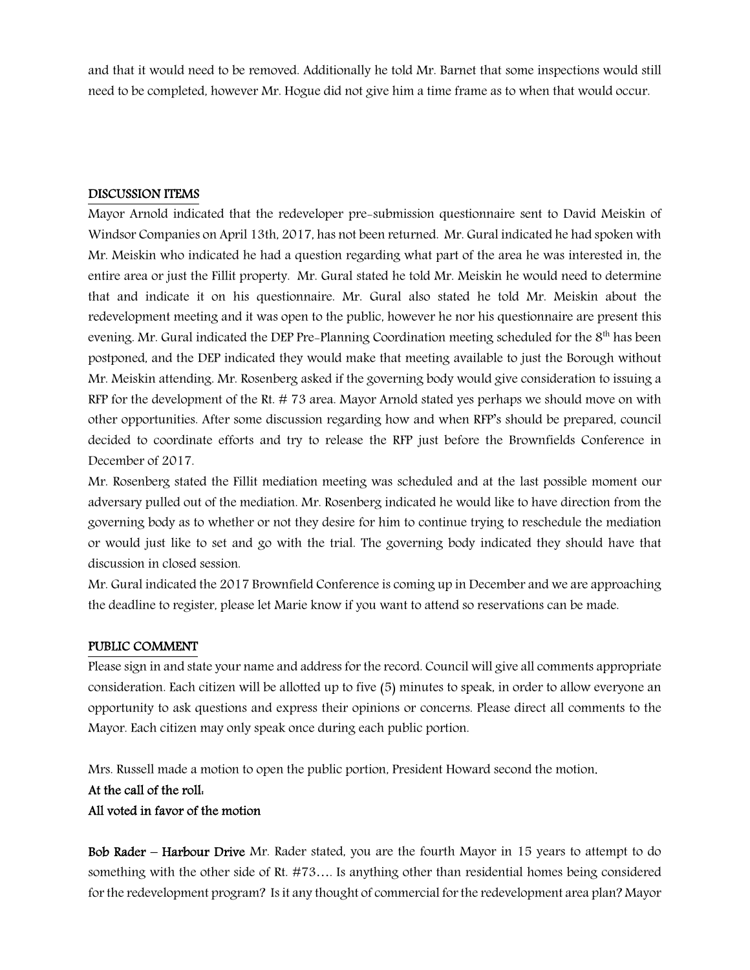and that it would need to be removed. Additionally he told Mr. Barnet that some inspections would still need to be completed, however Mr. Hogue did not give him a time frame as to when that would occur.

#### DISCUSSION ITEMS

Mayor Arnold indicated that the redeveloper pre-submission questionnaire sent to David Meiskin of Windsor Companies on April 13th, 2017, has not been returned. Mr. Gural indicated he had spoken with Mr. Meiskin who indicated he had a question regarding what part of the area he was interested in, the entire area or just the Fillit property. Mr. Gural stated he told Mr. Meiskin he would need to determine that and indicate it on his questionnaire. Mr. Gural also stated he told Mr. Meiskin about the redevelopment meeting and it was open to the public, however he nor his questionnaire are present this evening. Mr. Gural indicated the DEP Pre-Planning Coordination meeting scheduled for the 8<sup>th</sup> has been postponed, and the DEP indicated they would make that meeting available to just the Borough without Mr. Meiskin attending. Mr. Rosenberg asked if the governing body would give consideration to issuing a RFP for the development of the Rt. # 73 area. Mayor Arnold stated yes perhaps we should move on with other opportunities. After some discussion regarding how and when RFP's should be prepared, council decided to coordinate efforts and try to release the RFP just before the Brownfields Conference in December of 2017.

Mr. Rosenberg stated the Fillit mediation meeting was scheduled and at the last possible moment our adversary pulled out of the mediation. Mr. Rosenberg indicated he would like to have direction from the governing body as to whether or not they desire for him to continue trying to reschedule the mediation or would just like to set and go with the trial. The governing body indicated they should have that discussion in closed session.

Mr. Gural indicated the 2017 Brownfield Conference is coming up in December and we are approaching the deadline to register, please let Marie know if you want to attend so reservations can be made.

#### PUBLIC COMMENT

Please sign in and state your name and address for the record. Council will give all comments appropriate consideration. Each citizen will be allotted up to five (5) minutes to speak, in order to allow everyone an opportunity to ask questions and express their opinions or concerns. Please direct all comments to the Mayor. Each citizen may only speak once during each public portion.

Mrs. Russell made a motion to open the public portion, President Howard second the motion.

### At the call of the roll:

All voted in favor of the motion

Bob Rader – Harbour Drive Mr. Rader stated, you are the fourth Mayor in 15 years to attempt to do something with the other side of Rt. #73…. Is anything other than residential homes being considered for the redevelopment program? Is it any thought of commercial for the redevelopment area plan? Mayor